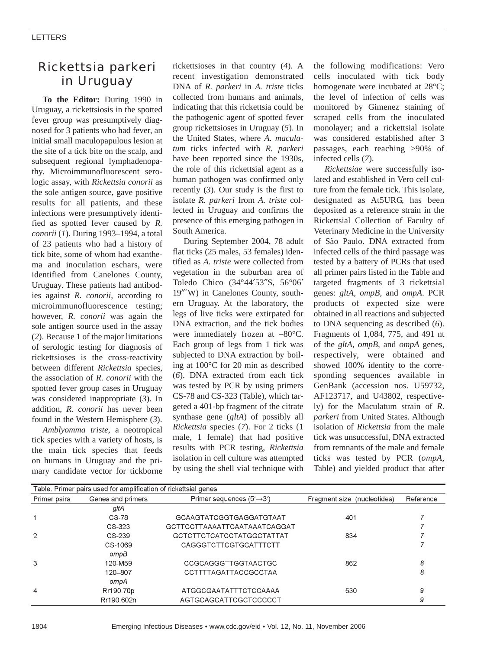# *Rickettsia parkeri* in Uruguay

**To the Editor:** During 1990 in Uruguay, a rickettsiosis in the spotted fever group was presumptively diagnosed for 3 patients who had fever, an initial small maculopapulous lesion at the site of a tick bite on the scalp, and subsequent regional lymphadenopathy. Microimmunofluorescent serologic assay, with *Rickettsia conorii* as the sole antigen source, gave positive results for all patients, and these infections were presumptively identified as spotted fever caused by *R. conorii* (*1*). During 1993–1994, a total of 23 patients who had a history of tick bite, some of whom had exanthema and inoculation eschars, were identified from Canelones County, Uruguay. These patients had antibodies against *R. conorii,* according to microimmunofluorescence testing; however, *R. conorii* was again the sole antigen source used in the assay (*2*). Because 1 of the major limitations of serologic testing for diagnosis of rickettsioses is the cross-reactivity between different *Rickettsia* species, the association of *R. conorii* with the spotted fever group cases in Uruguay was considered inappropriate (*3*). In addition, *R. conorii* has never been found in the Western Hemisphere (*3*).

*Amblyomma triste*, a neotropical tick species with a variety of hosts, is the main tick species that feeds on humans in Uruguay and the primary candidate vector for tickborne

rickettsioses in that country (*4*). A recent investigation demonstrated DNA of *R. parkeri* in *A. triste* ticks collected from humans and animals, indicating that this rickettsia could be the pathogenic agent of spotted fever group rickettsioses in Uruguay (*5*). In the United States, where *A. maculatum* ticks infected with *R. parkeri* have been reported since the 1930s, the role of this rickettsial agent as a human pathogen was confirmed only recently (*3*). Our study is the first to isolate *R. parkeri* from *A. triste* collected in Uruguay and confirms the presence of this emerging pathogen in South America.

During September 2004, 78 adult flat ticks (25 males, 53 females) identified as *A. triste* were collected from vegetation in the suburban area of Toledo Chico (34°44′53″S, 56°06′ 19″´W) in Canelones County, southern Uruguay. At the laboratory, the legs of live ticks were extirpated for DNA extraction, and the tick bodies were immediately frozen at −80°C. Each group of legs from 1 tick was subjected to DNA extraction by boiling at 100°C for 20 min as described (*6*). DNA extracted from each tick was tested by PCR by using primers CS-78 and CS-323 (Table), which targeted a 401-bp fragment of the citrate synthase gene (*gltA*) of possibly all *Rickettsia* species (*7*). For 2 ticks (1 male, 1 female) that had positive results with PCR testing, *Rickettsia* isolation in cell culture was attempted by using the shell vial technique with

the following modifications: Vero cells inoculated with tick body homogenate were incubated at 28°C; the level of infection of cells was monitored by Gimenez staining of scraped cells from the inoculated monolayer; and a rickettsial isolate was considered established after 3 passages, each reaching >90% of infected cells (*7*).

*Rickettsiae* were successfully isolated and established in Vero cell culture from the female tick. This isolate, designated as At5URG, has been deposited as a reference strain in the Rickettsial Collection of Faculty of Veterinary Medicine in the University of São Paulo. DNA extracted from infected cells of the third passage was tested by a battery of PCRs that used all primer pairs listed in the Table and targeted fragments of 3 rickettsial genes: *gltA, ompB,* and *ompA*. PCR products of expected size were obtained in all reactions and subjected to DNA sequencing as described (*6*). Fragments of 1,084, 775, and 491 nt of the *gltA, ompB,* and *ompA* genes, respectively, were obtained and showed 100% identity to the corresponding sequences available in GenBank (accession nos. U59732, AF123717, and U43802, respectively) for the Maculatum strain of *R*. *parkeri* from United States. Although isolation of *Rickettsia* from the male tick was unsuccessful, DNA extracted from remnants of the male and female ticks was tested by PCR (*ompA,* Table) and yielded product that after

| Table. Primer pairs used for amplification of rickettsial genes |                   |                                        |                             |           |
|-----------------------------------------------------------------|-------------------|----------------------------------------|-----------------------------|-----------|
| Primer pairs                                                    | Genes and primers | Primer sequences $(5' \rightarrow 3')$ | Fragment size (nucleotides) | Reference |
|                                                                 | gltA              |                                        |                             |           |
|                                                                 | CS-78             | GCAAGTATCGGTGAGGATGTAAT                | 401                         |           |
|                                                                 | CS-323            | GCTTCCTTAAAATTCAATAAATCAGGAT           |                             |           |
| $\overline{2}$                                                  | CS-239            | GCTCTTCTCATCCTATGGCTATTAT              | 834                         |           |
|                                                                 | CS-1069           | CAGGGTCTTCGTGCATTTCTT                  |                             |           |
|                                                                 | ompB              |                                        |                             |           |
| 3                                                               | 120-M59           | CCGCAGGGTTGGTAACTGC                    | 862                         | 8         |
|                                                                 | 120-807           | CCTTTTAGATTACCGCCTAA                   |                             | 8         |
|                                                                 | ompA              |                                        |                             |           |
| 4                                                               | Rr190.70p         | ATGGCGAATATTTCTCCAAAA                  | 530                         | 9         |
|                                                                 | Rr190.602n        | AGTGCAGCATTCGCTCCCCCT                  |                             | 9         |